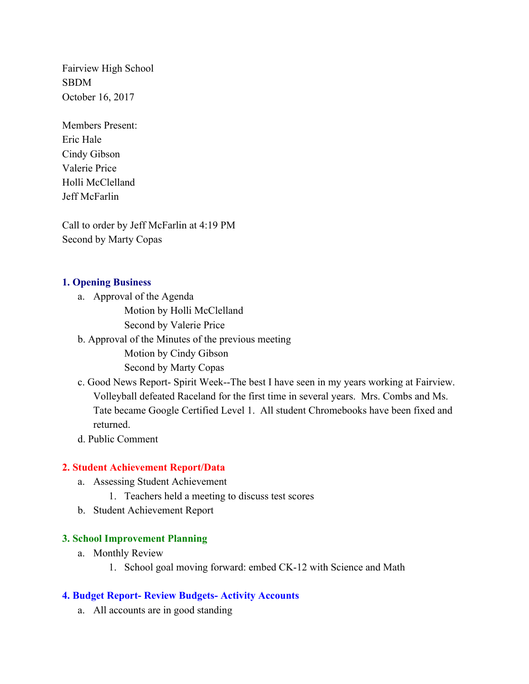SBDM Fairview High School October 16, 2017

Members Present: Eric Hale Cindy Gibson Valerie Price Holli McClelland Jeff McFarlin

Call to order by Jeff McFarlin at 4:19 PM Second by Marty Copas

#### **1. Opening Business**

a. Approval of the Agenda

Motion by Holli McClelland

Second by Valerie Price

b. Approval of the Minutes of the previous meeting

Motion by Cindy Gibson

Second by Marty Copas

 c. Good News Report- Spirit Week--The best I have seen in my years working at Fairview. Volleyball defeated Raceland for the first time in several years. Mrs. Combs and Ms. Tate became Google Certified Level 1. All student Chromebooks have been fixed and returned.

d. Public Comment

#### **2. Student Achievement Report/Data**

- a. Assessing Student Achievement
	- 1. Teachers held a meeting to discuss test scores
- b. Student Achievement Report

#### **3. School Improvement Planning**

- a. Monthly Review
	- 1. School goal moving forward: embed CK-12 with Science and Math

#### **4. Budget Report- Review Budgets- Activity Accounts**

a. All accounts are in good standing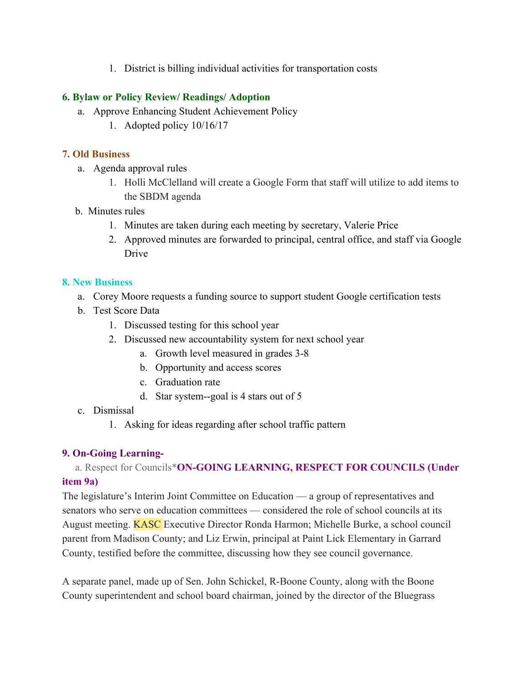1. District is billing individual activities for transportation costs

## **6. Bylaw or Policy Review/ Readings/ Adoption**

- a. Approve Enhancing Student Achievement Policy
	- 1. Adopted policy 10/16/17

## **7. Old Business**

- a. Agenda approval rules
	- 1. Holli McClelland will create a Google Form that staff will utilize to add items to the SBDM agenda
- b. Minutes rules
	- 1. Minutes are taken during each meeting by secretary, Valerie Price
	- 2. Approved minutes are forwarded to principal, central office, and staff via Google Drive

#### **8. New Business**

- a. Corey Moore requests a funding source to support student Google certification tests
- b. Test Score Data
	- 1. Discussed testing for this school year
	- 2. Discussed new accountability system for next school year
		- a. Growth level measured in grades 3-8
		- b. Opportunity and access scores
		- c. Graduation rate
		- d. Star system--goal is 4 stars out of 5
- c. Dismissal
	- 1. Asking for ideas regarding after school traffic pattern

## **9. On-Going Learning-**

# a. Respect for Councils\***ON-GOING LEARNING, RESPECT FOR COUNCILS (Under item 9a)**

 August meeting. KASC Executive Director Ronda Harmon; Michelle Burke, a school council The legislature's Interim Joint Committee on Education –– a group of representatives and senators who serve on education committees — considered the role of school councils at its parent from Madison County; and Liz Erwin, principal at Paint Lick Elementary in Garrard County, testified before the committee, discussing how they see council governance.

A separate panel, made up of Sen. John Schickel, R-Boone County, along with the Boone County superintendent and school board chairman, joined by the director of the Bluegrass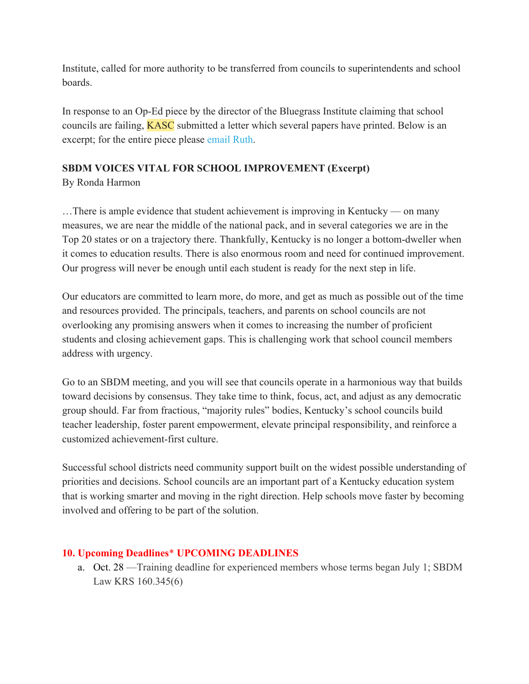Institute, called for more authority to be transferred from councils to superintendents and school boards.

 councils are failing, KASC submitted a letter which several papers have printed. Below is an excerpt; for the entire piece please email Ruth. In response to an Op-Ed piece by the director of the Bluegrass Institute claiming that school

## **SBDM VOICES VITAL FOR SCHOOL IMPROVEMENT (Excerpt)**

By Ronda Harmon

…There is ample evidence that student achievement is improving in Kentucky — on many measures, we are near the middle of the national pack, and in several categories we are in the Top 20 states or on a trajectory there. Thankfully, Kentucky is no longer a bottom-dweller when it comes to education results. There is also enormous room and need for continued improvement. Our progress will never be enough until each student is ready for the next step in life.

Our educators are committed to learn more, do more, and get as much as possible out of the time and resources provided. The principals, teachers, and parents on school councils are not overlooking any promising answers when it comes to increasing the number of proficient students and closing achievement gaps. This is challenging work that school council members address with urgency.

Go to an SBDM meeting, and you will see that councils operate in a harmonious way that builds toward decisions by consensus. They take time to think, focus, act, and adjust as any democratic group should. Far from fractious, "majority rules" bodies, Kentucky's school councils build teacher leadership, foster parent empowerment, elevate principal responsibility, and reinforce a customized achievement-first culture.

Successful school districts need community support built on the widest possible understanding of priorities and decisions. School councils are an important part of a Kentucky education system that is working smarter and moving in the right direction. Help schools move faster by becoming involved and offering to be part of the solution.

# **10. Upcoming Deadlines**\* **UPCOMING DEADLINES**

a. Oct. 28 —Training deadline for experienced members whose terms began July 1; SBDM Law KRS 160.345(6)